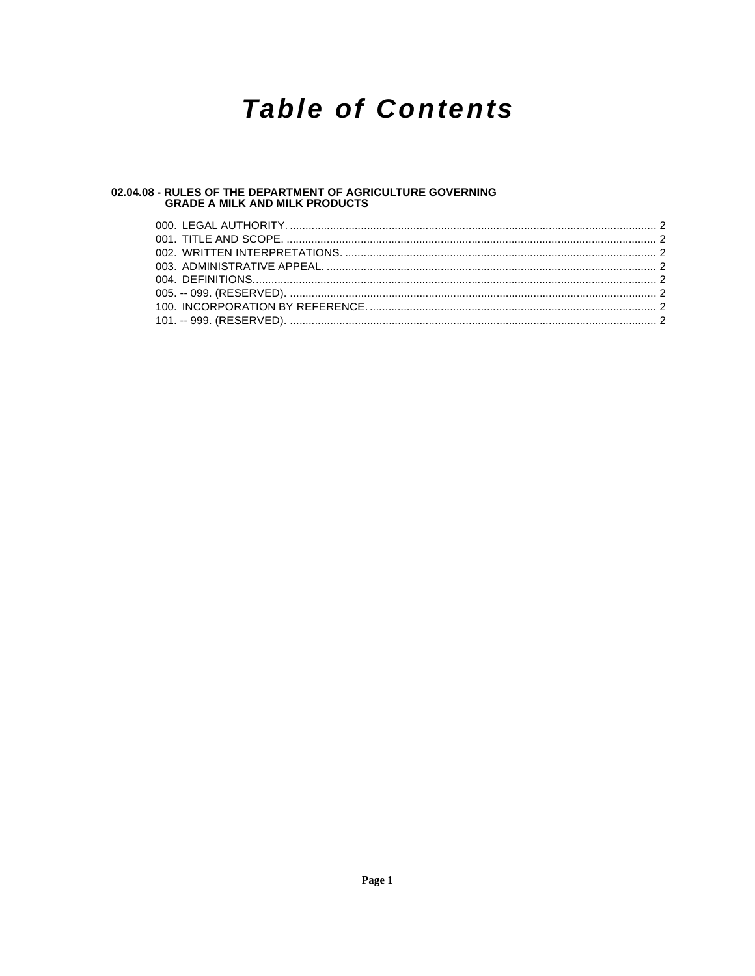## **Table of Contents**

### 02.04.08 - RULES OF THE DEPARTMENT OF AGRICULTURE GOVERNING<br>GRADE A MILK AND MILK PRODUCTS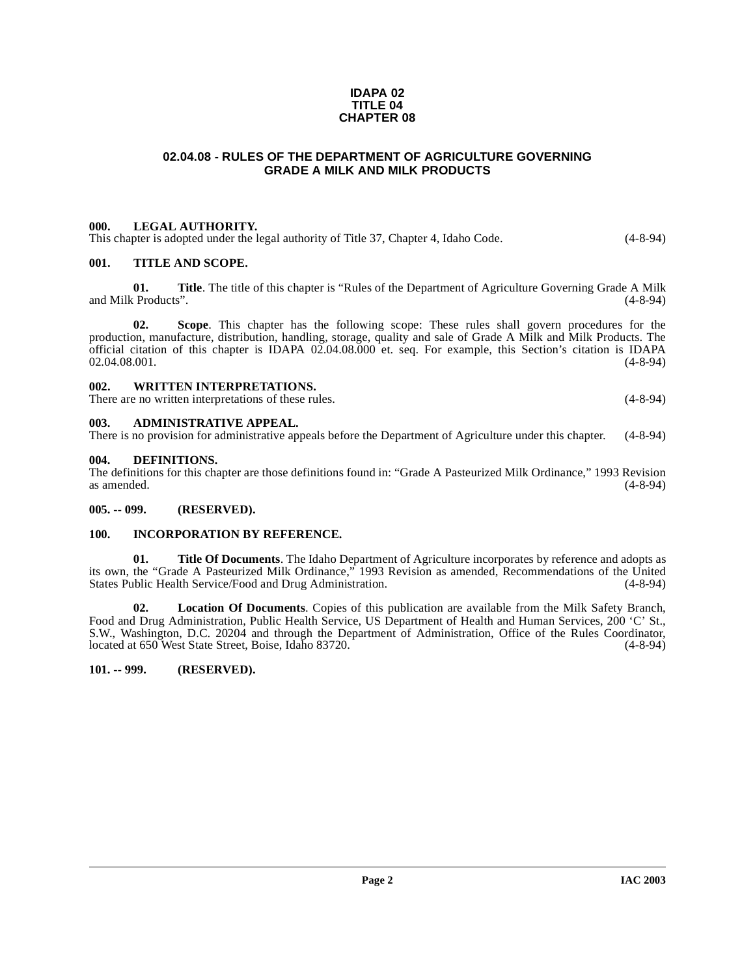#### **IDAPA 02 TITLE 04 CHAPTER 08**

#### **02.04.08 - RULES OF THE DEPARTMENT OF AGRICULTURE GOVERNING GRADE A MILK AND MILK PRODUCTS**

#### <span id="page-1-1"></span><span id="page-1-0"></span>**000. LEGAL AUTHORITY.**

This chapter is adopted under the legal authority of Title 37, Chapter 4, Idaho Code. (4-8-94)

#### <span id="page-1-2"></span>**001. TITLE AND SCOPE.**

**01.** Title. The title of this chapter is "Rules of the Department of Agriculture Governing Grade A Milk (Products<sup>"</sup>. (4-8-94) and Milk Products".

**02. Scope**. This chapter has the following scope: These rules shall govern procedures for the production, manufacture, distribution, handling, storage, quality and sale of Grade A Milk and Milk Products. The official citation of this chapter is IDAPA  $02.04.08.000$  et. seq. For example, this Section's citation is IDAPA  $02.04.08.001$ . (4-8-94)  $02.04.08.001.$  (4-8-94)

<span id="page-1-3"></span>

| 002 | <b>WRITTEN INTERPRETATIONS.</b>                      |            |
|-----|------------------------------------------------------|------------|
|     | There are no written interpretations of these rules. | $(4-8-94)$ |

#### <span id="page-1-4"></span>**003. ADMINISTRATIVE APPEAL.**

There is no provision for administrative appeals before the Department of Agriculture under this chapter. (4-8-94)

#### <span id="page-1-9"></span><span id="page-1-5"></span>**004. DEFINITIONS.**

The definitions for this chapter are those definitions found in: "Grade A Pasteurized Milk Ordinance," 1993 Revision as amended.  $(4-8-94)$ 

#### <span id="page-1-6"></span>**005. -- 099. (RESERVED).**

#### <span id="page-1-7"></span>**100. INCORPORATION BY REFERENCE.**

**01. Title Of Documents**. The Idaho Department of Agriculture incorporates by reference and adopts as its own, the "Grade A Pasteurized Milk Ordinance," 1993 Revision as amended, Recommendations of the United States Public Health Service/Food and Drug Administration.

**02. Location Of Documents**. Copies of this publication are available from the Milk Safety Branch, Food and Drug Administration, Public Health Service, US Department of Health and Human Services, 200 'C' St., S.W., Washington, D.C. 20204 and through the Department of Administration, Office of the Rules Coordinator, located at 650 West State Street, Boise, Idaho 83720.

#### <span id="page-1-8"></span>**101. -- 999. (RESERVED).**